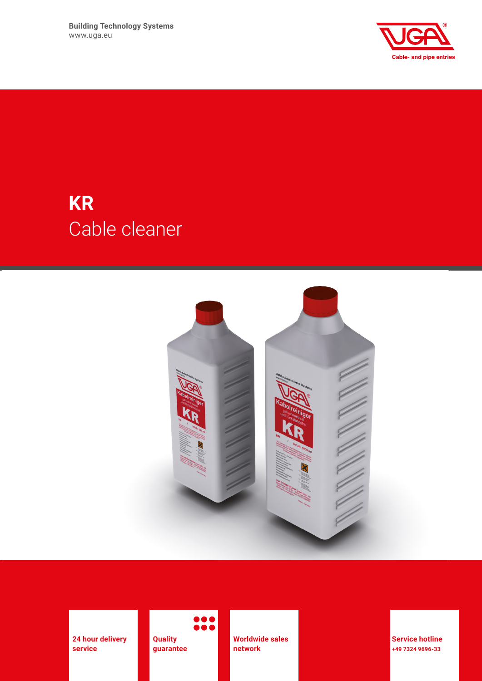**Building Technology Systems** www.uga.eu



# **KR** Cable cleaner



**24 hour delivery service**

**Quality guarantee**

**Worldwide sales network**

**Service hotline +49 7324 9696-33**